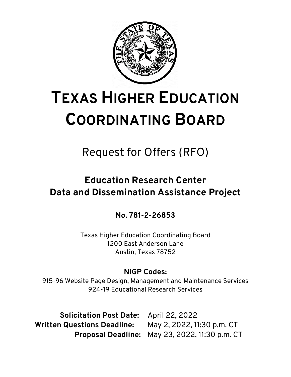

# **TEXAS HIGHER EDUCATION COORDINATING BOARD**

Request for Offers (RFO)

# **Education Research Center Data and Dissemination Assistance Project**

**No. 781-2-26853** 

Texas Higher Education Coordinating Board 1200 East Anderson Lane Austin, Texas 78752

# **NIGP Codes:**

915-96 Website Page Design, Management and Maintenance Services 924-19 Educational Research Services

**Solicitation Post Date:** April 22, 2022 **Written Questions Deadline:** May 2, 2022, 11:30 p.m. CT

**Proposal Deadline:** May 23, 2022, 11:30 p.m. CT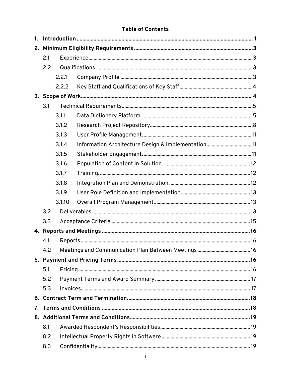#### **Table of Contents**

| 1.  |     |        |                                                     |  |  |
|-----|-----|--------|-----------------------------------------------------|--|--|
| 2.  |     |        |                                                     |  |  |
|     | 2.1 |        |                                                     |  |  |
|     | 2.2 |        |                                                     |  |  |
|     |     | 2.2.1  |                                                     |  |  |
|     |     | 2.2.2  |                                                     |  |  |
|     |     |        |                                                     |  |  |
| 3.1 |     |        |                                                     |  |  |
|     |     | 3.1.1  |                                                     |  |  |
|     |     | 3.1.2  |                                                     |  |  |
|     |     | 3.1.3  |                                                     |  |  |
|     |     | 3.1.4  | Information Architecture Design & Implementation 11 |  |  |
|     |     | 3.1.5  |                                                     |  |  |
|     |     | 3.1.6  |                                                     |  |  |
|     |     | 3.1.7  |                                                     |  |  |
|     |     | 3.1.8  |                                                     |  |  |
|     |     | 3.1.9  |                                                     |  |  |
|     |     | 3.1.10 |                                                     |  |  |
|     | 3.2 |        |                                                     |  |  |
|     | 3.3 |        |                                                     |  |  |
|     |     |        |                                                     |  |  |
|     | 4.1 |        |                                                     |  |  |
|     | 4.2 |        |                                                     |  |  |
|     |     |        |                                                     |  |  |
|     | 5.1 |        |                                                     |  |  |
|     | 5.2 |        |                                                     |  |  |
|     | 5.3 |        |                                                     |  |  |
| 6.  |     |        |                                                     |  |  |
| 7.  |     |        |                                                     |  |  |
|     |     |        |                                                     |  |  |
|     | 8.1 |        |                                                     |  |  |
|     | 8.2 |        |                                                     |  |  |
|     | 8.3 |        |                                                     |  |  |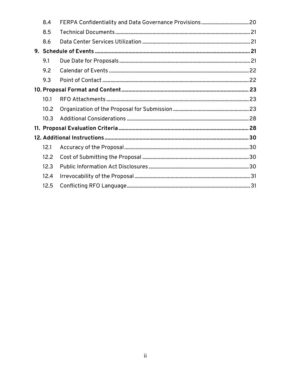| 8.4  |  |
|------|--|
| 8.5  |  |
| 8.6  |  |
|      |  |
| 9.1  |  |
| 9.2  |  |
| 9.3  |  |
|      |  |
| 10.1 |  |
| 10.2 |  |
| 10.3 |  |
|      |  |
|      |  |
| 12.1 |  |
| 12.2 |  |
| 12.3 |  |
| 12.4 |  |
| 12.5 |  |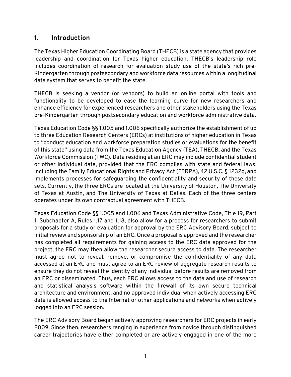# <span id="page-3-0"></span>**1. Introduction**

The Texas Higher Education Coordinating Board (THECB) is a state agency that provides leadership and coordination for Texas higher education. THECB's leadership role includes coordination of research for evaluation study use of the state's rich pre-Kindergarten through postsecondary and workforce data resources within a longitudinal data system that serves to benefit the state.

 THECB is seeking a vendor (or vendors) to build an online portal with tools and functionality to be developed to ease the learning curve for new researchers and enhance efficiency for experienced researchers and other stakeholders using the Texas pre-Kindergarten through postsecondary education and workforce administrative data.

 implements processes for safeguarding the confidentiality and security of these data Texas Education Code §§ 1.005 and 1.006 specifically authorize the establishment of up to three Education Research Centers (ERCs) at institutions of higher education in Texas to "conduct education and workforce preparation studies or evaluations for the benefit of this state" using data from the Texas Education Agency (TEA), THECB, and the Texas Workforce Commission (TWC). Data residing at an ERC may include confidential student or other individual data, provided that the ERC complies with state and federal laws, including the Family Educational Rights and Privacy Act (FERPA), 42 U.S.C. § 1232g, and sets. Currently, the three ERCs are located at the University of Houston, The University of Texas at Austin, and The University of Texas at Dallas. Each of the three centers operates under its own contractual agreement with THECB.

 proposals for a study or evaluation for approval by the ERC Advisory Board, subject to Texas Education Code §§ 1.005 and 1.006 and Texas Administrative Code, Title 19, Part 1, Subchapter A, Rules 1.17 and 1.18, also allow for a process for researchers to submit initial review and sponsorship of an ERC. Once a proposal is approved and the researcher has completed all requirements for gaining access to the ERC data approved for the project, the ERC may then allow the researcher secure access to data. The researcher must agree not to reveal, remove, or compromise the confidentiality of any data accessed at an ERC and must agree to an ERC review of aggregate research results to ensure they do not reveal the identity of any individual before results are removed from an ERC or disseminated. Thus, each ERC allows access to the data and use of research and statistical analysis software within the firewall of its own secure technical architecture and environment, and no approved individual when actively accessing ERC data is allowed access to the Internet or other applications and networks when actively logged into an ERC session.

The ERC Advisory Board began actively approving researchers for ERC projects in early 2009. Since then, researchers ranging in experience from novice through distinguished career trajectories have either completed or are actively engaged in one of the more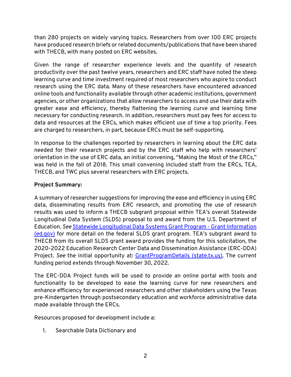than 280 projects on widely varying topics. Researchers from over 100 ERC projects have produced research briefs or related documents/publications that have been shared with THECB, with many posted on ERC websites.

 productivity over the past twelve years, researchers and ERC staff have noted the steep necessary for conducting research. In addition, researchers must pay fees for access to Given the range of researcher experience levels and the quantity of research learning curve and time investment required of most researchers who aspire to conduct research using the ERC data. Many of these researchers have encountered advanced online tools and functionality available through other academic institutions, government agencies, or other organizations that allow researchers to access and use their data with greater ease and efficiency, thereby flattening the learning curve and learning time data and resources at the ERCs, which makes efficient use of time a top priority. Fees are charged to researchers, in part, because ERCs must be self-supporting.

In response to the challenges reported by researchers in learning about the ERC data needed for their research projects and by the ERC staff who help with researchers' orientation in the use of ERC data, an initial convening, "Making the Most of the ERCs," was held in the fall of 2018. This small convening included staff from the ERCs, TEA, THECB, and TWC plus several researchers with ERC projects.

#### **Project Summary:**

A summary of researcher suggestions for improving the ease and efficiency in using ERC data, disseminating results from ERC research, and promoting the use of research results was used to inform a THECB subgrant proposal within TEA's overall Statewide Longitudinal Data System (SLDS) proposal to and award from the U.S. Department of Education. *See* [Statewide Longitudinal Data Systems Grant Program -](https://nces.ed.gov/programs/SLDS/grant_information.asp) Grant Information [\(ed.gov\)](https://nces.ed.gov/programs/SLDS/grant_information.asp) for more detail on the federal SLDS grant program. TEA's subgrant award to THECB from its overall SLDS grant award provides the funding for this solicitation, the 2020-2022 Education Research Center Data and Dissemination Assistance (ERC-DDA) Project. *See* the initial opportunity at: [GrantProgramDetails \(state.tx.us\).](https://tea4avalonzo.tea.state.tx.us/GrantOpportunities/forms/GrantProgramSearch.aspx) The current funding period extends through November 30, 2022.

The ERC-DDA Project funds will be used to provide an online portal with tools and functionality to be developed to ease the learning curve for new researchers and enhance efficiency for experienced researchers and other stakeholders using the Texas pre-Kindergarten through postsecondary education and workforce administrative data made available through the ERCs.

Resources proposed for development include a:

1. Searchable Data Dictionary and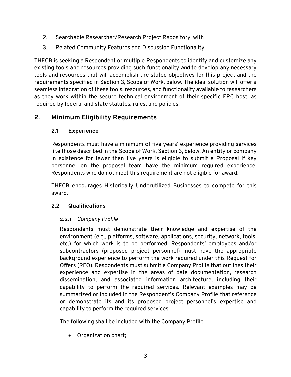- 2. Searchable Researcher/Research Project Repository, with
- 3. Related Community Features and Discussion Functionality.

 requirements specified in Section 3, Scope of Work, below. The ideal solution will offer a seamless integration of these tools, resources, and functionality available to researchers required by federal and state statutes, rules, and policies. THECB is seeking a Respondent or multiple Respondents to identify and customize any existing tools and resources providing such functionality *and* to develop any necessary tools and resources that will accomplish the stated objectives for this project and the as they work within the secure technical environment of their specific ERC host, as

# <span id="page-5-1"></span><span id="page-5-0"></span>**2. Minimum Eligibility Requirements**

#### **2.1 Experience**

Respondents must have a minimum of five years' experience providing services like those described in the Scope of Work, Section 3, below. An entity or company in existence for fewer than five years is eligible to submit a Proposal if key personnel on the proposal team have the minimum required experience. Respondents who do not meet this requirement are not eligible for award.

 THECB encourages Historically Underutilized Businesses to compete for this award.

# <span id="page-5-3"></span><span id="page-5-2"></span>**2.2 Qualifications**

# 2.2.1 *Company Profile*

 background experience to perform the work required under this Request for Respondents must demonstrate their knowledge and expertise of the environment (e.g., platforms, software, applications, security, network, tools, etc.) for which work is to be performed. Respondents' employees and/or subcontractors (proposed project personnel) must have the appropriate Offers (RFO). Respondents must submit a Company Profile that outlines their experience and expertise in the areas of data documentation, research dissemination, and associated information architecture, including their capability to perform the required services. Relevant examples may be summarized or included in the Respondent's Company Profile that reference or demonstrate its and its proposed project personnel's expertise and capability to perform the required services.

The following shall be included with the Company Profile:

• Organization chart;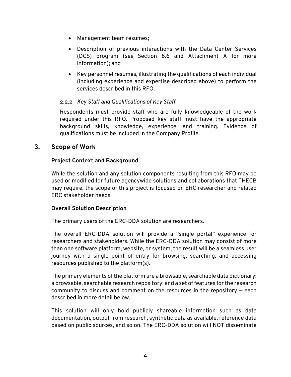- Management team resumes;
- • Description of previous interactions with the Data Center Services information); and (DCS) program (*see* Section 8.6 and Attachment A for more
- Key personnel resumes, illustrating the qualifications of each individual (including experience and expertise described above) to perform the services described in this RFO.

#### <span id="page-6-0"></span>2.2.2 *Key Staff and Qualifications of Key Staff*

Respondents must provide staff who are fully knowledgeable of the work required under this RFO. Proposed key staff must have the appropriate background skills, knowledge, experience, and training. Evidence of qualifications must be included in the Company Profile.

#### <span id="page-6-1"></span>**3. Scope of Work**

#### **Project Context and Background**

While the solution and any solution components resulting from this RFO may be used or modified for future agencywide solutions and collaborations that THECB may require, the scope of this project is focused on ERC researcher and related ERC stakeholder needs.

#### **Overall Solution Description**

The primary users of the ERC-DDA solution are researchers.

 than one software platform, website, or system, the result will be a seamless user The overall ERC-DDA solution will provide a "single portal" experience for researchers and stakeholders. While the ERC-DDA solution may consist of more journey with a single point of entry for browsing, searching, and accessing resources published to the platform(s).

The primary elements of the platform are a browsable, searchable data dictionary; a browsable, searchable research repository; and a set of features for the research community to discuss and comment on the resources in the repository — each described in more detail below.

This solution will only hold publicly shareable information such as data documentation, output from research, synthetic data as available, reference data based on public sources, and so on. The ERC-DDA solution will NOT disseminate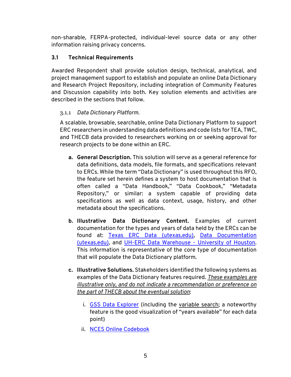non-sharable, FERPA-protected, individual-level source data or any other information raising privacy concerns.

#### <span id="page-7-0"></span>**3.1 Technical Requirements**

Awarded Respondent shall provide solution design, technical, analytical, and project management support to establish and populate an online Data Dictionary and Research Project Repository, including integration of Community Features and Discussion capability into both. Key solution elements and activities are described in the sections that follow.

#### <span id="page-7-1"></span>3.1.1 *Data Dictionary Platform.*

A scalable, browsable, searchable, online Data Dictionary Platform to support ERC researchers in understanding data definitions and code lists for TEA, TWC, and THECB data provided to researchers working on or seeking approval for research projects to be done within an ERC.

- **a. General Description.** This solution will serve as a general reference for data definitions, data models, file formats, and specifications relevant to ERCs. While the term "Data Dictionary" is used throughout this RFO, the feature set herein defines a system to host documentation that is often called a "Data Handbook," "Data Cookbook," "Metadata Repository," or similar: a system capable of providing data specifications as well as data context, usage, history, and other metadata about the specifications.
- **b. Illustrative Data Dictionary Content.** Examples of current documentation for the types and years of data held by the ERCs can be found at: [Texas ERC Data \(utexas.edu\),](https://texaserc.utexas.edu/erc-data/) [Data Documentation](https://texaserc.utexas.edu/documentation/)  [\(utexas.edu\),](https://texaserc.utexas.edu/documentation/) and [UH-ERC Data Warehouse -](https://www.uh.edu/education/research/institutes-centers/erc/data-warehouse/) University of Houston. This information is representative of the core type of documentation that will populate the Data Dictionary platform.
- **c. Illustrative Solutions.** Stakeholders identified the following systems as examples of the Data Dictionary features required. *These examples are illustrative only, and do not indicate a recommendation or preference on the part of THECB about the eventual solution*:
	- i. [GSS Data Explorer](https://gssdataexplorer.norc.org/) (including the [variable search;](https://gssdataexplorer.norc.org/variables/vfilter) a noteworthy feature is the good visualization of "years available" for each data point)
	- ii. [NCES Online Codebook](https://nces.ed.gov/OnlineCodebook)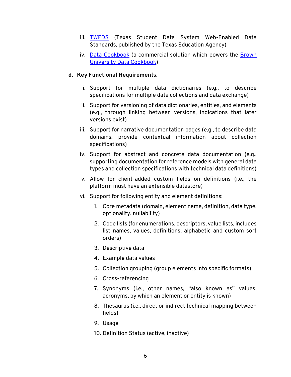- iii. [TWEDS](https://tealprod.tea.state.tx.us/TWEDS/87/0/0/0/DataComponents/ComplexType/List/8764) (Texas Student Data System Web-Enabled Data Standards, published by the Texas Education Agency)
- iv. [Data Cookbook](http://www.datacookbook.com/) (a commercial solution which powers the Brown [University Data Cookbook\)](https://oir.brown.edu/data-cookbook)

#### **d. Key Functional Requirements.**

- i. Support for multiple data dictionaries (e.g., to describe specifications for multiple data collections and data exchange)
- ii. Support for versioning of data dictionaries, entities, and elements (e.g., through linking between versions, indications that later versions exist)
- iii. Support for narrative documentation pages (e.g., to describe data domains, provide contextual information about collection specifications)
- iv. Support for abstract and concrete data documentation (e.g., supporting documentation for reference models with general data types and collection specifications with technical data definitions)
- v. Allow for client-added custom fields on definitions (i.e., the platform must have an extensible datastore)
- vi. Support for following entity and element definitions:
	- 1. Core metadata (domain, element name, definition, data type, optionality, nullability)
	- 2. Code lists (for enumerations, descriptors, value lists, includes list names, values, definitions, alphabetic and custom sort orders)
	- 3. Descriptive data
	- 4. Example data values
	- 5. Collection grouping (group elements into specific formats)
	- 6. Cross-referencing
	- 7. Synonyms (i.e., other names, "also known as" values, acronyms, by which an element or entity is known)
	- 8. Thesaurus (i.e., direct or indirect technical mapping between fields)
	- 9. Usage
	- 10. Definition Status (active, inactive)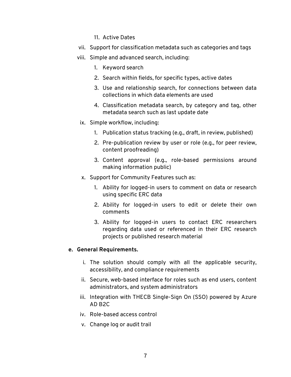- 11. Active Dates
- vii. Support for classification metadata such as categories and tags
- viii. Simple and advanced search, including:
	- 1. Keyword search
	- 2. Search within fields, for specific types, active dates
	- 3. Use and relationship search, for connections between data collections in which data elements are used
	- 4. Classification metadata search, by category and tag, other metadata search such as last update date
	- ix. Simple workflow, including:
		- 1. Publication status tracking (e.g., draft, in review, published)
		- 2. Pre-publication review by user or role (e.g., for peer review, content proofreading)
		- 3. Content approval (e.g., role-based permissions around making information public)
	- x. Support for Community Features such as:
		- 1. Ability for logged-in users to comment on data or research using specific ERC data
		- 2. Ability for logged-in users to edit or delete their own comments
		- 3. Ability for logged-in users to contact ERC researchers regarding data used or referenced in their ERC research projects or published research material

#### **e. General Requirements.**

- i. The solution should comply with all the applicable security, accessibility, and compliance requirements
- ii. Secure, web-based interface for roles such as end users, content administrators, and system administrators
- iii. Integration with THECB Single-Sign On (SSO) powered by Azure AD B2C
- iv. Role-based access control
- v. Change log or audit trail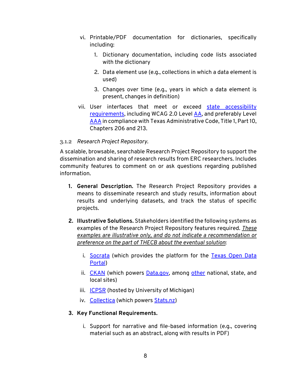- vi. Printable/PDF documentation for dictionaries, specifically including:
	- 1. Dictionary documentation, including code lists associated with the dictionary
	- 2. Data element use (e.g., collections in which a data element is used)
	- 3. Changes over time (e.g., years in which a data element is present, changes in definition)
- vii. User interfaces that meet or exceed state accessibility [requirements,](https://dir.texas.gov/electronic-information-resources-eir-accessibility/eir-accessibility-roles-responsibilities/eir) including WCAG 2.0 Level [AA,](https://www.w3.org/WAI/WCAG2AA-Conformance) and preferably Level [AAA i](https://www.w3.org/WAI/WCAG2AAA-Conformance)n compliance with Texas Administrative Code, Title 1, Part 10, Chapters 206 and 213.

#### <span id="page-10-0"></span>3.1.2 *Research Project Repository.*

A scalable, browsable, searchable Research Project Repository to support the dissemination and sharing of research results from ERC researchers. Includes community features to comment on or ask questions regarding published information.

- results and underlying datasets, and track the status of specific **1. General Description.** The Research Project Repository provides a means to disseminate research and study results, information about projects.
- examples of the Research Project Repository features required. *These*  **2. Illustrative Solutions.** Stakeholders identified the following systems as *examples are illustrative only, and do not indicate a recommendation or preference on the part of THECB about the eventual solution*:
	- i. [Socrata](https://www.tylertech.com/products/socrata/open-data-cloud) (which provides the platform for the Texas Open Data [Portal\)](https://data.texas.gov/)
	- ii. [CKAN](https://ckan.org/) (which powers [Data.gov,](https://catalog.data.gov/dataset) among [other](https://ckan.org/showcase) national, state, and local sites)
	- iii. [ICPSR](https://www.icpsr.umich.edu/web/pages/index.html) (hosted by University of Michigan)
	- iv. [Collectica](https://www.colectica.com/) (which powers [Stats.nz\)](https://www.stats.govt.nz/)

#### **3. Key Functional Requirements.**

 i. Support for narrative and file-based information (e.g., covering material such as an abstract, along with results in PDF)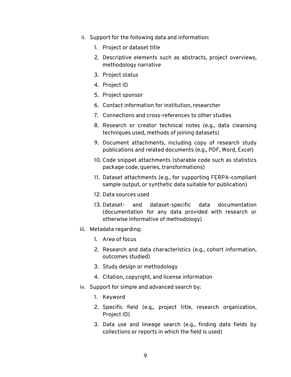- ii. Support for the following data and information:
	- 1. Project or dataset title
	- 2. Descriptive elements such as abstracts, project overviews, methodology narrative
	- 3. Project status
	- 4. Project ID
	- 5. Project sponsor
	- 6. Contact information for institution, researcher
	- 7. Connections and cross-references to other studies
	- 8. Research or creator technical notes (e.g., data cleansing techniques used, methods of joining datasets)
	- 9. Document attachments, including copy of research study publications and related documents (e.g., PDF, Word, Excel)
	- 10. Code snippet attachments (sharable code such as statistics package code, queries, transformations)
	- 11. Dataset attachments (e.g., for supporting FERPA-compliant sample output, or synthetic data suitable for publication)
	- 12. Data sources used
	- 13. Dataset- and dataset-specific data documentation (documentation for any data provided with research or otherwise informative of methodology)
- iii. Metadata regarding:
	- 1. Area of focus
	- 2. Research and data characteristics (e.g., cohort information, outcomes studied)
	- 3. Study design or methodology
	- 4. Citation, copyright, and license information
- iv. Support for simple and advanced search by:
	- 1. Keyword
	- 2. Specific field (e.g., project title, research organization, Project ID)
	- collections or reports in which the field is used) 3. Data use and lineage search (e.g., finding data fields by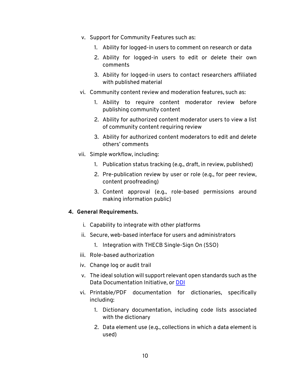- v. Support for Community Features such as:
	- 1. Ability for logged-in users to comment on research or data
	- 2. Ability for logged-in users to edit or delete their own comments
	- 3. Ability for logged-in users to contact researchers affiliated with published material
- vi. Community content review and moderation features, such as:
	- 1. Ability to require content moderator review before publishing community content
	- 2. Ability for authorized content moderator users to view a list of community content requiring review
	- 3. Ability for authorized content moderators to edit and delete others' comments
- vii. Simple workflow, including:
	- 1. Publication status tracking (e.g., draft, in review, published)
	- 2. Pre-publication review by user or role (e.g., for peer review, content proofreading)
	- 3. Content approval (e.g., role-based permissions around making information public)

#### **4. General Requirements.**

- i. Capability to integrate with other platforms
- ii. Secure, web-based interface for users and administrators
	- 1. Integration with THECB Single-Sign On (SSO)
- iii. Role-based authorization
- iv. Change log or audit trail
- v. The ideal solution will support relevant open standards such as the Data Documentation Initiative, or <mark>DDI</mark>
- vi. Printable/PDF documentation for dictionaries, specifically including:
	- 1. Dictionary documentation, including code lists associated with the dictionary
	- 2. Data element use (e.g., collections in which a data element is used)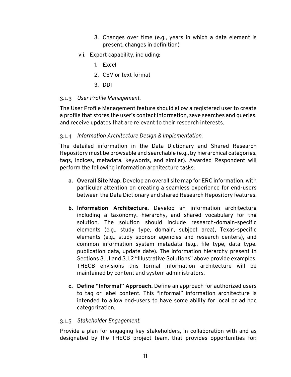- 3. Changes over time (e.g., years in which a data element is present, changes in definition)
- vii. Export capability, including:
	- 1. Excel
	- 2. CSV or text format
	- 3. DDI

#### <span id="page-13-0"></span>3.1.3 *User Profile Management.*

The User Profile Management feature should allow a registered user to create a profile that stores the user's contact information, save searches and queries, and receive updates that are relevant to their research interests.

#### <span id="page-13-1"></span>3.1.4 *Information Architecture Design & Implementation.*

 Repository must be browsable and searchable (e.g., by hierarchical categories, The detailed information in the Data Dictionary and Shared Research tags, indices, metadata, keywords, and similar). Awarded Respondent will perform the following information architecture tasks:

- **a. Overall Site Map.** Develop an overall site map for ERC information, with particular attention on creating a seamless experience for end-users between the Data Dictionary and shared Research Repository features.
- elements (e.g., study type, domain, subject area), Texas-specific **b. Information Architecture.** Develop an information architecture including a taxonomy, hierarchy, and shared vocabulary for the solution. The solution should include research-domain-specific elements (e.g., study sponsor agencies and research centers), and common information system metadata (e.g., file type, data type, publication data, update date). The information hierarchy present in Sections 3.1.1 and 3.1.2 "Illustrative Solutions" above provide examples. THECB envisions this formal information architecture will be maintained by content and system administrators.
- **c. Define "Informal" Approach.** Define an approach for authorized users to tag or label content. This "informal" information architecture is intended to allow end-users to have some ability for local or ad hoc categorization.

#### <span id="page-13-2"></span>3.1.5 *Stakeholder Engagement.*

 Provide a plan for engaging key stakeholders, in collaboration with and as designated by the THECB project team, that provides opportunities for: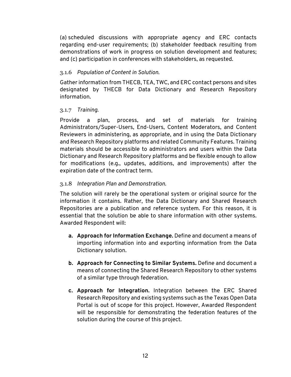(a) scheduled discussions with appropriate agency and ERC contacts regarding end-user requirements; (b) stakeholder feedback resulting from demonstrations of work in progress on solution development and features; and (c) participation in conferences with stakeholders, as requested.

#### <span id="page-14-0"></span>3.1.6 *Population of Content in Solution.*

Gather information from THECB, TEA, TWC, and ERC contact persons and sites designated by THECB for Data Dictionary and Research Repository information.

#### <span id="page-14-1"></span>3.1.7 *Training.*

 Dictionary and Research Repository platforms and be flexible enough to allow Provide a plan, process, and set of materials for training Administrators/Super-Users, End-Users, Content Moderators, and Content Reviewers in administering, as appropriate, and in using the Data Dictionary and Research Repository platforms and related Community Features. Training materials should be accessible to administrators and users within the Data for modifications (e.g., updates, additions, and improvements) after the expiration date of the contract term.

#### <span id="page-14-2"></span> 3.1.8 *Integration Plan and Demonstration.*

 The solution will rarely be the operational system or original source for the Repositories are a publication and reference system. For this reason, it is information it contains. Rather, the Data Dictionary and Shared Research essential that the solution be able to share information with other systems. Awarded Respondent will:

- **a. Approach for Information Exchange.** Define and document a means of importing information into and exporting information from the Data Dictionary solution.
- **b. Approach for Connecting to Similar Systems.** Define and document a means of connecting the Shared Research Repository to other systems of a similar type through federation.
- **c. Approach for Integration.** Integration between the ERC Shared Research Repository and existing systems such as the Texas Open Data Portal is out of scope for this project. However, Awarded Respondent will be responsible for demonstrating the federation features of the solution during the course of this project.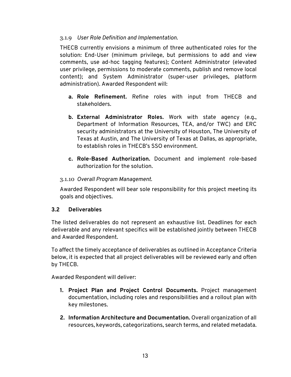#### <span id="page-15-0"></span>3.1.9 *User Role Definition and Implementation.*

THECB currently envisions a minimum of three authenticated roles for the solution: End-User (minimum privilege, but permissions to add and view comments, use ad-hoc tagging features); Content Administrator (elevated user privilege, permissions to moderate comments, publish and remove local content); and System Administrator (super-user privileges, platform administration). Awarded Respondent will:

- **a. Role Refinement.** Refine roles with input from THECB and stakeholders.
- **b. External Administrator Roles.** Work with state agency (e.g., Department of Information Resources, TEA, and/or TWC) and ERC security administrators at the University of Houston, The University of Texas at Austin, and The University of Texas at Dallas, as appropriate, to establish roles in THECB's SSO environment.
- **c. Role-Based Authorization.** Document and implement role-based authorization for the solution.

#### <span id="page-15-1"></span>3.1.10 *Overall Program Management.*

Awarded Respondent will bear sole responsibility for this project meeting its goals and objectives.

#### <span id="page-15-2"></span>**3.2 Deliverables**

The listed deliverables do not represent an exhaustive list. Deadlines for each deliverable and any relevant specifics will be established jointly between THECB and Awarded Respondent.

To affect the timely acceptance of deliverables as outlined in Acceptance Criteria below, it is expected that all project deliverables will be reviewed early and often by THECB.

Awarded Respondent will deliver:

- **1. Project Plan and Project Control Documents.** Project management documentation, including roles and responsibilities and a rollout plan with key milestones.
- resources, keywords, categorizations, search terms, and related metadata. **2. Information Architecture and Documentation.** Overall organization of all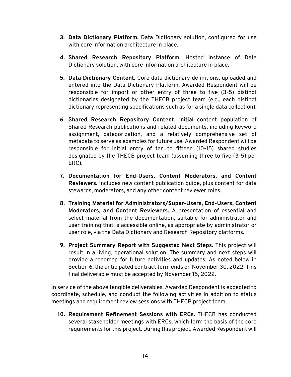- **3. Data Dictionary Platform.** Data Dictionary solution, configured for use with core information architecture in place.
- **4. Shared Research Repository Platform.** Hosted instance of Data Dictionary solution, with core information architecture in place.
- entered into the Data Dictionary Platform. Awarded Respondent will be **5. Data Dictionary Content.** Core data dictionary definitions, uploaded and responsible for import or other entry of three to five (3-5) distinct dictionaries designated by the THECB project team (e.g., each distinct dictionary representing specifications such as for a single data collection).
- **6. Shared Research Repository Content.** Initial content population of Shared Research publications and related documents, including keyword assignment, categorization, and a relatively comprehensive set of metadata to serve as examples for future use. Awarded Respondent will be responsible for initial entry of ten to fifteen (10-15) shared studies designated by the THECB project team (assuming three to five (3-5) per ERC).
- **7. Documentation for End-Users, Content Moderators, and Content Reviewers.** Includes new content publication guide, plus content for data stewards, moderators, and any other content reviewer roles.
- user role, via the Data Dictionary and Research Repository platforms. **8. Training Material for Administrators/Super-Users, End-Users, Content Moderators, and Content Reviewers.** A presentation of essential and select material from the documentation, suitable for administrator and user training that is accessible online, as appropriate by administrator or
- **9. Project Summary Report with Suggested Next Steps.** This project will result in a living, operational solution. The summary and next steps will provide a roadmap for future activities and updates. As noted below in Section 6, the anticipated contract term ends on November 30, 2022. This final deliverable must be accepted by November 15, 2022.

In service of the above tangible deliverables, Awarded Respondent is expected to coordinate, schedule, and conduct the following activities in addition to status meetings and requirement review sessions with THECB project team:

**10. Requirement Refinement Sessions with ERCs.** THECB has conducted several stakeholder meetings with ERCs, which form the basis of the core requirements for this project. During this project, Awarded Respondent will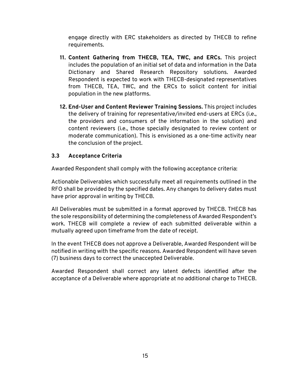engage directly with ERC stakeholders as directed by THECB to refine requirements.

- **11. Content Gathering from THECB, TEA, TWC, and ERCs.** This project includes the population of an initial set of data and information in the Data Dictionary and Shared Research Repository solutions. Awarded Respondent is expected to work with THECB-designated representatives from THECB, TEA, TWC, and the ERCs to solicit content for initial population in the new platforms.
- **12. End-User and Content Reviewer Training Sessions.** This project includes the delivery of training for representative/invited end-users at ERCs (i.e., the providers and consumers of the information in the solution) and content reviewers (i.e., those specially designated to review content or moderate communication). This is envisioned as a one-time activity near the conclusion of the project.

#### <span id="page-17-0"></span>**3.3 Acceptance Criteria**

Awarded Respondent shall comply with the following acceptance criteria:

Actionable Deliverables which successfully meet all requirements outlined in the RFO shall be provided by the specified dates. Any changes to delivery dates must have prior approval in writing by THECB.

All Deliverables must be submitted in a format approved by THECB. THECB has the sole responsibility of determining the completeness of Awarded Respondent's work. THECB will complete a review of each submitted deliverable within a mutually agreed upon timeframe from the date of receipt.

In the event THECB does not approve a Deliverable, Awarded Respondent will be notified in writing with the specific reasons. Awarded Respondent will have seven (7) business days to correct the unaccepted Deliverable.

Awarded Respondent shall correct any latent defects identified after the acceptance of a Deliverable where appropriate at no additional charge to THECB.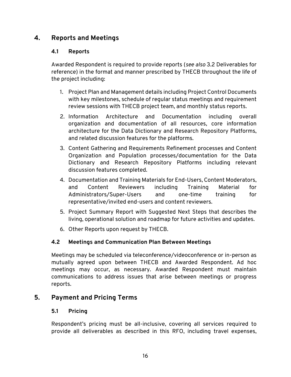# <span id="page-18-1"></span><span id="page-18-0"></span>**4. Reports and Meetings**

#### **4.1 Reports**

Awarded Respondent is required to provide reports (*see also* 3.2 Deliverables for reference) in the format and manner prescribed by THECB throughout the life of the project including:

- 1. Project Plan and Management details including Project Control Documents with key milestones, schedule of regular status meetings and requirement review sessions with THECB project team, and monthly status reports.
- 2. Information Architecture and Documentation including overall organization and documentation of all resources, core information architecture for the Data Dictionary and Research Repository Platforms, and related discussion features for the platforms.
- Organization and Population processes/documentation for the Data 3. Content Gathering and Requirements Refinement processes and Content Dictionary and Research Repository Platforms including relevant discussion features completed.
- 4. Documentation and Training Materials for End-Users, Content Moderators, and Content Reviewers including Training Material for Administrators/Super-Users and one-time training for representative/invited end-users and content reviewers.
- 5. Project Summary Report with Suggested Next Steps that describes the living, operational solution and roadmap for future activities and updates.
- 6. Other Reports upon request by THECB.

# <span id="page-18-2"></span>**4.2 Meetings and Communication Plan Between Meetings**

 mutually agreed upon between THECB and Awarded Respondent. Ad hoc Meetings may be scheduled via teleconference/videoconference or in-person as meetings may occur, as necessary. Awarded Respondent must maintain communications to address issues that arise between meetings or progress reports.

# <span id="page-18-4"></span><span id="page-18-3"></span>**5. Payment and Pricing Terms**

#### **5.1 Pricing**

Respondent's pricing must be all-inclusive, covering all services required to provide all deliverables as described in this RFO, including travel expenses,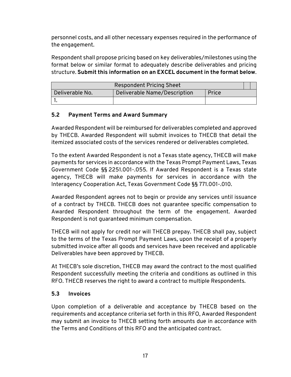personnel costs, and all other necessary expenses required in the performance of the engagement.

Respondent shall propose pricing based on key deliverables/milestones using the format below or similar format to adequately describe deliverables and pricing structure. **Submit this information on an EXCEL document in the format below**.

| <b>Respondent Pricing Sheet</b> |                              |       |  |
|---------------------------------|------------------------------|-------|--|
| Deliverable No.                 | Deliverable Name/Description | Price |  |
|                                 |                              |       |  |

#### <span id="page-19-0"></span>**5.2 Payment Terms and Award Summary**

Awarded Respondent will be reimbursed for deliverables completed and approved by THECB. Awarded Respondent will submit invoices to THECB that detail the itemized associated costs of the services rendered or deliverables completed.

 To the extent Awarded Respondent is not a Texas state agency, THECB will make payments for services in accordance with the Texas Prompt Payment Laws, Texas Government Code §§ 2251.001-.055. If Awarded Respondent is a Texas state agency, THECB will make payments for services in accordance with the Interagency Cooperation Act, Texas Government Code §§ 771.001-.010.

 Awarded Respondent throughout the term of the engagement. Awarded Awarded Respondent agrees not to begin or provide any services until issuance of a contract by THECB. THECB does not guarantee specific compensation to Respondent is not guaranteed minimum compensation.

THECB will not apply for credit nor will THECB prepay. THECB shall pay, subject to the terms of the Texas Prompt Payment Laws, upon the receipt of a properly submitted invoice after all goods and services have been received and applicable Deliverables have been approved by THECB.

 At THECB's sole discretion, THECB may award the contract to the most qualified Respondent successfully meeting the criteria and conditions as outlined in this RFO. THECB reserves the right to award a contract to multiple Respondents.

#### <span id="page-19-1"></span>**5.3 Invoices**

Upon completion of a deliverable and acceptance by THECB based on the requirements and acceptance criteria set forth in this RFO, Awarded Respondent may submit an invoice to THECB setting forth amounts due in accordance with the Terms and Conditions of this RFO and the anticipated contract.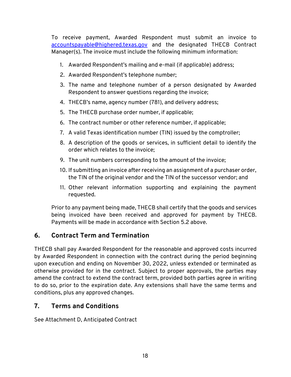To receive payment, Awarded Respondent must submit an invoice to [accountspayable@highered.texas.gov](mailto:accountspayable@highered.texas.gov) and the designated THECB Contract Manager(s). The invoice must include the following minimum information:

- 1. Awarded Respondent's mailing and e-mail (if applicable) address;
- 2. Awarded Respondent's telephone number;
- 3. The name and telephone number of a person designated by Awarded Respondent to answer questions regarding the invoice;
- 4. THECB's name, agency number (781), and delivery address;
- 5. The THECB purchase order number, if applicable;
- 6. The contract number or other reference number, if applicable;
- 7. A valid Texas identification number (TIN) issued by the comptroller;
- 8. A description of the goods or services, in sufficient detail to identify the order which relates to the invoice;
- 9. The unit numbers corresponding to the amount of the invoice;
- 10. If submitting an invoice after receiving an assignment of a purchaser order, the TIN of the original vendor and the TIN of the successor vendor; and
- 11. Other relevant information supporting and explaining the payment requested.

Prior to any payment being made, THECB shall certify that the goods and services being invoiced have been received and approved for payment by THECB. Payments will be made in accordance with Section 5.2 above.

# <span id="page-20-0"></span>**6. Contract Term and Termination**

 upon execution and ending on November 30, 2022, unless extended or terminated as THECB shall pay Awarded Respondent for the reasonable and approved costs incurred by Awarded Respondent in connection with the contract during the period beginning otherwise provided for in the contract. Subject to proper approvals, the parties may amend the contract to extend the contract term, provided both parties agree in writing to do so, prior to the expiration date. Any extensions shall have the same terms and conditions, plus any approved changes.

# <span id="page-20-1"></span>**7. Terms and Conditions**

See Attachment D, Anticipated Contract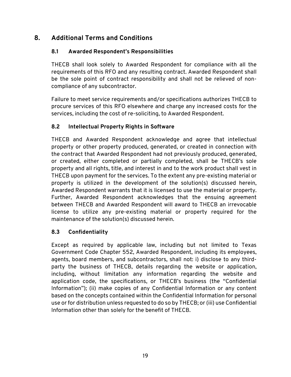# <span id="page-21-1"></span><span id="page-21-0"></span>**8. Additional Terms and Conditions**

#### **8.1 Awarded Respondent's Responsibilities**

 requirements of this RFO and any resulting contract. Awarded Respondent shall THECB shall look solely to Awarded Respondent for compliance with all the be the sole point of contract responsibility and shall not be relieved of noncompliance of any subcontractor.

Failure to meet service requirements and/or specifications authorizes THECB to procure services of this RFO elsewhere and charge any increased costs for the services, including the cost of re-soliciting, to Awarded Respondent.

#### <span id="page-21-2"></span>**8.2 Intellectual Property Rights in Software**

 or created, either completed or partially completed, shall be THECB's sole between THECB and Awarded Respondent will award to THECB an irrevocable THECB and Awarded Respondent acknowledge and agree that intellectual property or other property produced, generated, or created in connection with the contract that Awarded Respondent had not previously produced, generated, property and all rights, title, and interest in and to the work product shall vest in THECB upon payment for the services. To the extent any pre-existing material or property is utilized in the development of the solution(s) discussed herein, Awarded Respondent warrants that it is licensed to use the material or property. Further, Awarded Respondent acknowledges that the ensuing agreement license to utilize any pre-existing material or property required for the maintenance of the solution(s) discussed herein.

#### <span id="page-21-3"></span>**8.3 Confidentiality**

 application code, the specifications, or THECB's business (the "Confidential Except as required by applicable law, including but not limited to Texas Government Code Chapter 552, Awarded Respondent, including its employees, agents, board members, and subcontractors, shall not: i) disclose to any thirdparty the business of THECB, details regarding the website or application, including, without limitation any information regarding the website and Information"); (ii) make copies of any Confidential Information or any content based on the concepts contained within the Confidential Information for personal use or for distribution unless requested to do so by THECB; or (iii) use Confidential Information other than solely for the benefit of THECB.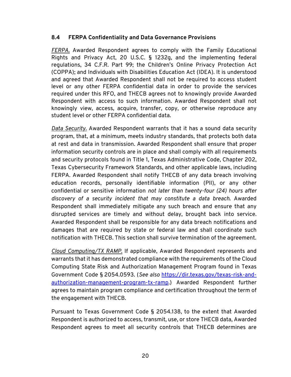#### <span id="page-22-0"></span>**8.4 FERPA Confidentiality and Data Governance Provisions**

 knowingly view, access, acquire, transfer, copy, or otherwise reproduce any *FERPA.* Awarded Respondent agrees to comply with the Family Educational Rights and Privacy Act, 20 U.S.C. § 1232g, and the implementing federal regulations, 34 C.F.R. Part 99; the Children's Online Privacy Protection Act (COPPA); and Individuals with Disabilities Education Act (IDEA). It is understood and agreed that Awarded Respondent shall not be required to access student level or any other FERPA confidential data in order to provide the services required under this RFO, and THECB agrees not to knowingly provide Awarded Respondent with access to such information. Awarded Respondent shall not student level or other FERPA confidential data.

 education records, personally identifiable information (PII), or any other Awarded Respondent shall be responsible for any data breach notifications and *Data Security.* Awarded Respondent warrants that it has a sound data security program, that, at a minimum, meets industry standards, that protects both data at rest and data in transmission. Awarded Respondent shall ensure that proper information security controls are in place and shall comply with all requirements and security protocols found in Title 1, Texas Administrative Code, Chapter 202, Texas Cybersecurity Framework Standards, and other applicable laws, including FERPA. Awarded Respondent shall notify THECB of any data breach involving confidential or sensitive information *not later than twenty-four (24) hours after discovery of a security incident that may constitute a data breach*. Awarded Respondent shall immediately mitigate any such breach and ensure that any disrupted services are timely and without delay, brought back into service. damages that are required by state or federal law and shall coordinate such notification with THECB. This section shall survive termination of the agreement.

 *Cloud Computing/TX RAMP.* If applicable, Awarded Respondent represents and Computing State Risk and Authorization Management Program found in Texas warrants that it has demonstrated compliance with the requirements of the Cloud Government Code § 2054.0593. (*See also* [https://dir.texas.gov/texas-risk-and](https://dir.texas.gov/texas-risk-and-authorization-management-program-tx-ramp)[authorization-management-program-tx-ramp.](https://dir.texas.gov/texas-risk-and-authorization-management-program-tx-ramp)) Awarded Respondent further agrees to maintain program compliance and certification throughout the term of the engagement with THECB.

 Respondent agrees to meet all security controls that THECB determines are Pursuant to Texas Government Code § 2054.138, to the extent that Awarded Respondent is authorized to access, transmit, use, or store THECB data, Awarded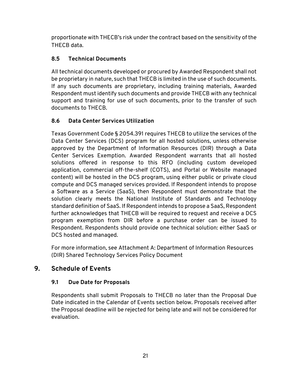proportionate with THECB's risk under the contract based on the sensitivity of the THECB data.

# <span id="page-23-0"></span>**8.5 Technical Documents**

 Respondent must identify such documents and provide THECB with any technical All technical documents developed or procured by Awarded Respondent shall not be proprietary in nature, such that THECB is limited in the use of such documents. If any such documents are proprietary, including training materials, Awarded support and training for use of such documents, prior to the transfer of such documents to THECB.

#### <span id="page-23-1"></span>**8.6 Data Center Services Utilization**

 Texas Government Code § 2054.391 requires THECB to utilize the services of the approved by the Department of Information Resources (DIR) through a Data further acknowledges that THECB will be required to request and receive a DCS Data Center Services (DCS) program for all hosted solutions, unless otherwise Center Services Exemption. Awarded Respondent warrants that all hosted solutions offered in response to this RFO (including custom developed application, commercial off-the-shelf (COTS), and Portal or Website managed content) will be hosted in the DCS program, using either public or private cloud compute and DCS managed services provided. If Respondent intends to propose a Software as a Service (SaaS), then Respondent must demonstrate that the solution clearly meets the National Institute of Standards and Technology standard definition of SaaS. If Respondent intends to propose a SaaS, Respondent program exemption from DIR before a purchase order can be issued to Respondent. Respondents should provide one technical solution: either SaaS or DCS hosted and managed.

For more information, see Attachment A: Department of Information Resources (DIR) Shared Technology Services Policy Document

# <span id="page-23-3"></span><span id="page-23-2"></span>**9. Schedule of Events**

#### **9.1 Due Date for Proposals**

Respondents shall submit Proposals to THECB no later than the Proposal Due Date indicated in the Calendar of Events section below. Proposals received after the Proposal deadline will be rejected for being late and will not be considered for evaluation.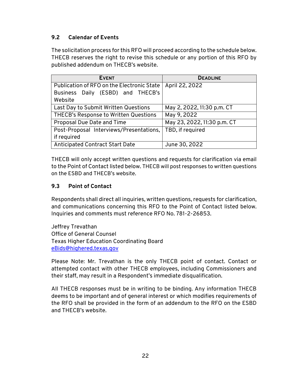#### <span id="page-24-0"></span>**9.2 Calendar of Events**

The solicitation process for this RFO will proceed according to the schedule below. THECB reserves the right to revise this schedule or any portion of this RFO by published addendum on THECB's website.

| <b>EVENT</b>                               | <b>DEADLINE</b>             |
|--------------------------------------------|-----------------------------|
| Publication of RFO on the Electronic State | April 22, 2022              |
| Business Daily (ESBD) and THECB's          |                             |
| Website                                    |                             |
| Last Day to Submit Written Questions       | May 2, 2022, 11:30 p.m. CT  |
| THECB's Response to Written Questions      | May 9, 2022                 |
| Proposal Due Date and Time                 | May 23, 2022, 11:30 p.m. CT |
| Post-Proposal Interviews/Presentations,    | TBD, if required            |
| if required                                |                             |
| <b>Anticipated Contract Start Date</b>     | June 30, 2022               |

 THECB will only accept written questions and requests for clarification via email to the Point of Contact listed below. THECB will post responses to written questions on the ESBD and THECB's website.

#### <span id="page-24-1"></span>**9.3 Point of Contact**

Respondents shall direct all inquiries, written questions, requests for clarification, and communications concerning this RFO to the Point of Contact listed below. Inquiries and comments must reference RFO No. 781-2-26853.

Jeffrey Trevathan Office of General Counsel Texas Higher Education Coordinating Board [eBids@highered.texas.gov](mailto:eBids@highered.texas.gov) 

Please Note: Mr. Trevathan is the only THECB point of contact. Contact or attempted contact with other THECB employees, including Commissioners and their staff, may result in a Respondent's immediate disqualification.

 the RFO shall be provided in the form of an addendum to the RFO on the ESBD All THECB responses must be in writing to be binding. Any information THECB deems to be important and of general interest or which modifies requirements of and THECB's website.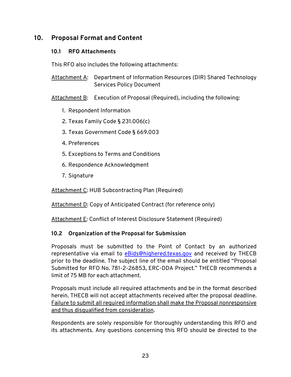# <span id="page-25-1"></span><span id="page-25-0"></span>**10. Proposal Format and Content**

#### **10.1 RFO Attachments**

This RFO also includes the following attachments:

Attachment A: Department of Information Resources (DIR) Shared Technology Services Policy Document

Attachment B: Execution of Proposal (Required), including the following:

- 1. Respondent Information
- 2. Texas Family Code § 231.006(c)
- 3. Texas Government Code § 669.003
- 4. Preferences
- 5. Exceptions to Terms and Conditions
- 6. Respondence Acknowledgment
- 7. Signature

Attachment C: HUB Subcontracting Plan (Required)

Attachment D: Copy of Anticipated Contract (for reference only)

Attachment E: Conflict of Interest Disclosure Statement (Required)

#### <span id="page-25-2"></span>**10.2 Organization of the Proposal for Submission**

Proposals must be submitted to the Point of Contact by an authorized representative via email to [eBids@highered.texas.gov](mailto:eBids@highered.texas.gov) and received by THECB prior to the deadline. The subject line of the email should be entitled "Proposal Submitted for RFO No. 781-2-26853, ERC-DDA Project." THECB recommends a limit of 75 MB for each attachment.

Proposals must include all required attachments and be in the format described herein. THECB will not accept attachments received after the proposal deadline. Failure to submit all required information shall make the Proposal nonresponsive and thus disqualified from consideration.

 its attachments. Any questions concerning this RFO should be directed to the Respondents are solely responsible for thoroughly understanding this RFO and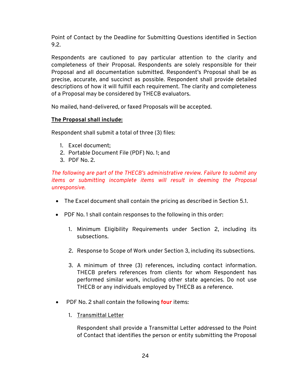Point of Contact by the Deadline for Submitting Questions identified in Section 9.2.

Respondents are cautioned to pay particular attention to the clarity and completeness of their Proposal. Respondents are solely responsible for their Proposal and all documentation submitted. Respondent's Proposal shall be as precise, accurate, and succinct as possible. Respondent shall provide detailed descriptions of how it will fulfill each requirement. The clarity and completeness of a Proposal may be considered by THECB evaluators.

No mailed, hand-delivered, or faxed Proposals will be accepted.

#### **The Proposal shall include:**

Respondent shall submit a total of three (3) files:

- 1. Excel document;
- 2. Portable Document File (PDF) No. 1; and
- 3. PDF No. 2.

*The following are part of the THECB's administrative review. Failure to submit any items or submitting incomplete items will result in deeming the Proposal unresponsive.* 

- The Excel document shall contain the pricing as described in Section 5.1.
- PDF No. 1 shall contain responses to the following in this order:
	- 1. Minimum Eligibility Requirements under Section 2, including its subsections.
	- 2. Response to Scope of Work under Section 3, including its subsections.
	- 3. A minimum of three (3) references, including contact information. THECB prefers references from clients for whom Respondent has performed similar work, including other state agencies. Do not use THECB or any individuals employed by THECB as a reference.
- • PDF No. 2 shall contain the following **four** items:
	- 1. Transmittal Letter

Respondent shall provide a Transmittal Letter addressed to the Point of Contact that identifies the person or entity submitting the Proposal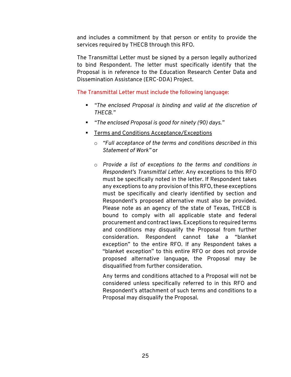and includes a commitment by that person or entity to provide the services required by THECB through this RFO.

The Transmittal Letter must be signed by a person legally authorized to bind Respondent. The letter must specifically identify that the Proposal is in reference to the Education Research Center Data and Dissemination Assistance (ERC-DDA) Project.

#### The Transmittal Letter must include the following language:

- *"The enclosed Proposal is binding and valid at the discretion of THECB."*
- *"The enclosed Proposal is good for ninety (90) days."*
- **FILTER 2018 Terms and Conditions Acceptance/Exceptions** 
	- o *"Full acceptance of the terms and conditions described in this Statement of Work"* or
	- must be specifically noted in the letter. If Respondent takes bound to comply with all applicable state and federal exception" to the entire RFO. If any Respondent takes a o *Provide a list of exceptions to the terms and conditions in Respondent's Transmittal Letter.* Any exceptions to this RFO any exceptions to any provision of this RFO, these exceptions must be specifically and clearly identified by section and Respondent's proposed alternative must also be provided. Please note as an agency of the state of Texas, THECB is procurement and contract laws. Exceptions to required terms and conditions may disqualify the Proposal from further consideration. Respondent cannot take a "blanket "blanket exception" to this entire RFO or does not provide proposed alternative language, the Proposal may be disqualified from further consideration.

Any terms and conditions attached to a Proposal will not be considered unless specifically referred to in this RFO and Respondent's attachment of such terms and conditions to a Proposal may disqualify the Proposal.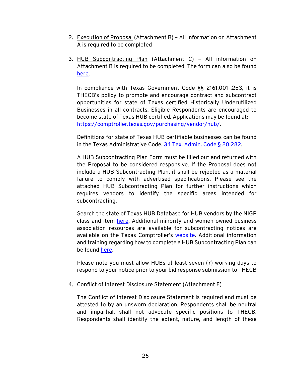- 2. Execution of Proposal (Attachment B) All information on Attachment A is required to be completed
- 3. HUB Subcontracting Plan (Attachment C) All information on Attachment B is required to be completed. The form can also be found [here.](https://comptroller.texas.gov/purchasing/vendor/hub/forms.php)

In compliance with Texas Government Code §§ 2161.001-.253, it is THECB's policy to promote and encourage contract and subcontract opportunities for state of Texas certified Historically Underutilized Businesses in all contracts. Eligible Respondents are encouraged to become state of Texas HUB certified. Applications may be found at: [https://comptroller.texas.gov/purchasing/vendor/hub/.](https://comptroller.texas.gov/purchasing/vendor/hub/)

Definitions for state of Texas HUB certifiable businesses can be found in the Texas Administrative Code. [34 Tex. Admin. Code § 20.282.](https://texreg.sos.state.tx.us/public/readtac$ext.TacPage?sl=R&app=9&p_dir=&p_rloc=&p_tloc=&p_ploc=&pg=1&p_tac=&ti=34&pt=1&ch=20&rl=282)

A HUB Subcontracting Plan Form must be filled out and returned with the Proposal to be considered responsive. If the Proposal does not include a HUB Subcontracting Plan, it shall be rejected as a material failure to comply with advertised specifications. Please see the attached HUB Subcontracting Plan for further instructions which requires vendors to identify the specific areas intended for subcontracting.

 Search the state of Texas HUB Database for HUB vendors by the NIGP class and item [here.](https://mycpa.cpa.state.tx.us/tpasscmblsearch/) Additional minority and women owned business association resources are available for subcontracting notices are available on the Texas Comptroller's [website.](https://comptroller.texas.gov/purchasing/vendor/hub/) Additional information and training regarding how to complete a HUB Subcontracting Plan can be found [here.](https://comptroller.texas.gov/purchasing/vendor/hub/forms.php)

Please note you must allow HUBs at least seven (7) working days to respond to your notice prior to your bid response submission to THECB

#### 4. Conflict of Interest Disclosure Statement (Attachment E)

 Respondents shall identify the extent, nature, and length of these The Conflict of Interest Disclosure Statement is required and must be attested to by an unsworn declaration. Respondents shall be neutral and impartial, shall not advocate specific positions to THECB.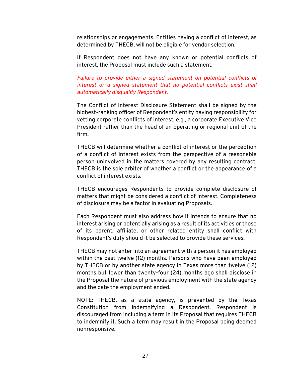relationships or engagements. Entities having a conflict of interest, as determined by THECB, will not be eligible for vendor selection.

If Respondent does not have any known or potential conflicts of interest, the Proposal must include such a statement.

*Failure to provide either a signed statement on potential conflicts of interest or a signed statement that no potential conflicts exist shall automatically disqualify Respondent.* 

firm. The Conflict of Interest Disclosure Statement shall be signed by the highest-ranking officer of Respondent's entity having responsibility for vetting corporate conflicts of interest, e.g., a corporate Executive Vice President rather than the head of an operating or regional unit of the

THECB will determine whether a conflict of interest or the perception of a conflict of interest exists from the perspective of a reasonable person uninvolved in the matters covered by any resulting contract. THECB is the sole arbiter of whether a conflict or the appearance of a conflict of interest exists.

THECB encourages Respondents to provide complete disclosure of matters that might be considered a conflict of interest. Completeness of disclosure may be a factor in evaluating Proposals.

Each Respondent must also address how it intends to ensure that no interest arising or potentially arising as a result of its activities or those of its parent, affiliate, or other related entity shall conflict with Respondent's duty should it be selected to provide these services.

THECB may not enter into an agreement with a person it has employed within the past twelve (12) months. Persons who have been employed by THECB or by another state agency in Texas more than twelve (12) months but fewer than twenty-four (24) months ago shall disclose in the Proposal the nature of previous employment with the state agency and the date the employment ended.

NOTE: THECB, as a state agency, is prevented by the Texas Constitution from indemnifying a Respondent. Respondent is discouraged from including a term in its Proposal that requires THECB to indemnify it. Such a term may result in the Proposal being deemed nonresponsive.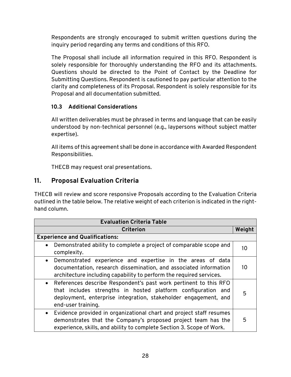inquiry period regarding any terms and conditions of this RFO. Respondents are strongly encouraged to submit written questions during the

The Proposal shall include all information required in this RFO. Respondent is solely responsible for thoroughly understanding the RFO and its attachments. Questions should be directed to the Point of Contact by the Deadline for Submitting Questions. Respondent is cautioned to pay particular attention to the clarity and completeness of its Proposal. Respondent is solely responsible for its Proposal and all documentation submitted.

#### <span id="page-30-0"></span>**10.3 Additional Considerations**

All written deliverables must be phrased in terms and language that can be easily understood by non-technical personnel (e.g., laypersons without subject matter expertise).

All items of this agreement shall be done in accordance with Awarded Respondent Responsibilities.

THECB may request oral presentations.

# <span id="page-30-1"></span>**11. Proposal Evaluation Criteria**

THECB will review and score responsive Proposals according to the Evaluation Criteria outlined in the table below. The relative weight of each criterion is indicated in the righthand column.

| <b>Evaluation Criteria Table</b>                                                                                                                                                                                                       |        |  |  |  |
|----------------------------------------------------------------------------------------------------------------------------------------------------------------------------------------------------------------------------------------|--------|--|--|--|
| <b>Criterion</b>                                                                                                                                                                                                                       | Weight |  |  |  |
| <b>Experience and Qualifications:</b>                                                                                                                                                                                                  |        |  |  |  |
| Demonstrated ability to complete a project of comparable scope and<br>$\bullet$<br>complexity.                                                                                                                                         | 10     |  |  |  |
| Demonstrated experience and expertise in the areas of data<br>$\bullet$<br>documentation, research dissemination, and associated information<br>architecture including capability to perform the required services.                    | 10     |  |  |  |
| References describe Respondent's past work pertinent to this RFO<br>$\bullet$<br>that includes strengths in hosted platform configuration and<br>deployment, enterprise integration, stakeholder engagement, and<br>end-user training. | 5      |  |  |  |
| Evidence provided in organizational chart and project staff resumes<br>$\bullet$<br>demonstrates that the Company's proposed project team has the<br>experience, skills, and ability to complete Section 3. Scope of Work.             | 5      |  |  |  |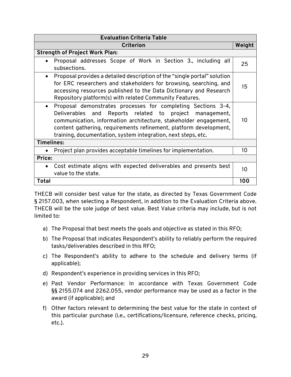| <b>Evaluation Criteria Table</b>                                                                                                                                                                                                                                                                                                     |        |  |  |  |
|--------------------------------------------------------------------------------------------------------------------------------------------------------------------------------------------------------------------------------------------------------------------------------------------------------------------------------------|--------|--|--|--|
| <b>Criterion</b>                                                                                                                                                                                                                                                                                                                     | Weight |  |  |  |
| <b>Strength of Project Work Plan:</b>                                                                                                                                                                                                                                                                                                |        |  |  |  |
| Proposal addresses Scope of Work in Section 3., including all<br>subsections.                                                                                                                                                                                                                                                        | 25     |  |  |  |
| Proposal provides a detailed description of the "single portal" solution<br>for ERC researchers and stakeholders for browsing, searching, and<br>accessing resources published to the Data Dictionary and Research<br>Repository platform(s) with related Community Features.                                                        | 15     |  |  |  |
| Proposal demonstrates processes for completing Sections 3-4,<br>Reports related to project management,<br>Deliverables and<br>communication, information architecture, stakeholder engagement,<br>content gathering, requirements refinement, platform development,<br>training, documentation, system integration, next steps, etc. | 10     |  |  |  |
| <b>Timelines:</b>                                                                                                                                                                                                                                                                                                                    |        |  |  |  |
| Project plan provides acceptable timelines for implementation.                                                                                                                                                                                                                                                                       | 10     |  |  |  |
| Price:                                                                                                                                                                                                                                                                                                                               |        |  |  |  |
| Cost estimate aligns with expected deliverables and presents best<br>value to the state.                                                                                                                                                                                                                                             | 10     |  |  |  |
| Total                                                                                                                                                                                                                                                                                                                                | 100    |  |  |  |

THECB will consider best value for the state, as directed by Texas Government Code § 2157.003, when selecting a Respondent, in addition to the Evaluation Criteria above. THECB will be the sole judge of best value. Best Value criteria may include, but is not limited to:

- a) The Proposal that best meets the goals and objective as stated in this RFO;
- b) The Proposal that indicates Respondent's ability to reliably perform the required tasks/deliverables described in this RFO;
- c) The Respondent's ability to adhere to the schedule and delivery terms (if applicable);
- d) Respondent's experience in providing services in this RFO;
- §§ 2155.074 and 2262.055, vendor performance may be used as a factor in the e) Past Vendor Performance: In accordance with Texas Government Code award (if applicable); and
- f) Other factors relevant to determining the best value for the state in context of this particular purchase (i.e., certifications/licensure, reference checks, pricing, etc.).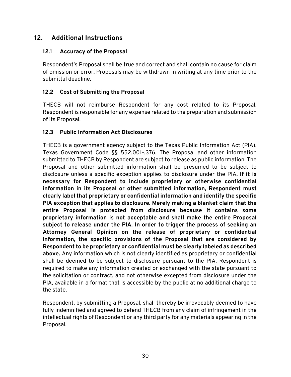# <span id="page-32-0"></span>**12. Additional Instructions**

#### <span id="page-32-1"></span>**12.1 Accuracy of the Proposal**

 of omission or error. Proposals may be withdrawn in writing at any time prior to the Respondent's Proposal shall be true and correct and shall contain no cause for claim submittal deadline.

#### <span id="page-32-2"></span>**12.2 Cost of Submitting the Proposal**

THECB will not reimburse Respondent for any cost related to its Proposal. Respondent is responsible for any expense related to the preparation and submission of its Proposal.

#### <span id="page-32-3"></span>**12.3 Public Information Act Disclosures**

 THECB is a government agency subject to the Texas Public Information Act (PIA),  **PIA exception that applies to disclosure. Merely making a blanket claim that the**  Texas Government Code §§ 552.001-.376. The Proposal and other information submitted to THECB by Respondent are subject to release as public information. The Proposal and other submitted information shall be presumed to be subject to disclosure unless a specific exception applies to disclosure under the PIA. **If it is necessary for Respondent to include proprietary or otherwise confidential information in its Proposal or other submitted information, Respondent must clearly label that proprietary or confidential information and identify the specific entire Proposal is protected from disclosure because it contains some proprietary information is not acceptable and shall make the entire Proposal subject to release under the PIA. In order to trigger the process of seeking an Attorney General Opinion on the release of proprietary or confidential information, the specific provisions of the Proposal that are considered by Respondent to be proprietary or confidential must be clearly labeled as described above.** Any information which is not clearly identified as proprietary or confidential shall be deemed to be subject to disclosure pursuant to the PIA. Respondent is required to make any information created or exchanged with the state pursuant to the solicitation or contract, and not otherwise excepted from disclosure under the PIA, available in a format that is accessible by the public at no additional charge to the state.

Respondent, by submitting a Proposal, shall thereby be irrevocably deemed to have fully indemnified and agreed to defend THECB from any claim of infringement in the intellectual rights of Respondent or any third party for any materials appearing in the Proposal.